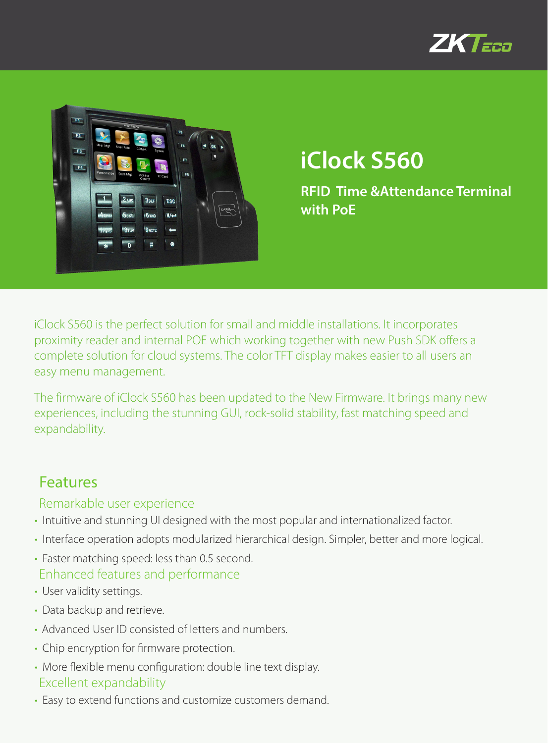



# **iClock S560**

**RFID Time &Attendance Terminal with PoE**

iClock S560 is the perfect solution for small and middle installations. It incorporates proximity reader and internal POE which working together with new Push SDK offers a complete solution for cloud systems. The color TFT display makes easier to all users an easy menu management.

The firmware of iClock S560 has been updated to the New Firmware. It brings many new experiences, including the stunning GUI, rock-solid stability, fast matching speed and expandability.

### Features

#### Remarkable user experience

- Intuitive and stunning UI designed with the most popular and internationalized factor.
- Interface operation adopts modularized hierarchical design. Simpler, better and more logical.
- Faster matching speed: less than 0.5 second. Enhanced features and performance
- User validity settings.
- Data backup and retrieve.
- Advanced User ID consisted of letters and numbers.
- Chip encryption for firmware protection.
- More flexible menu configuration: double line text display. Excellent expandability
- Easy to extend functions and customize customers demand.